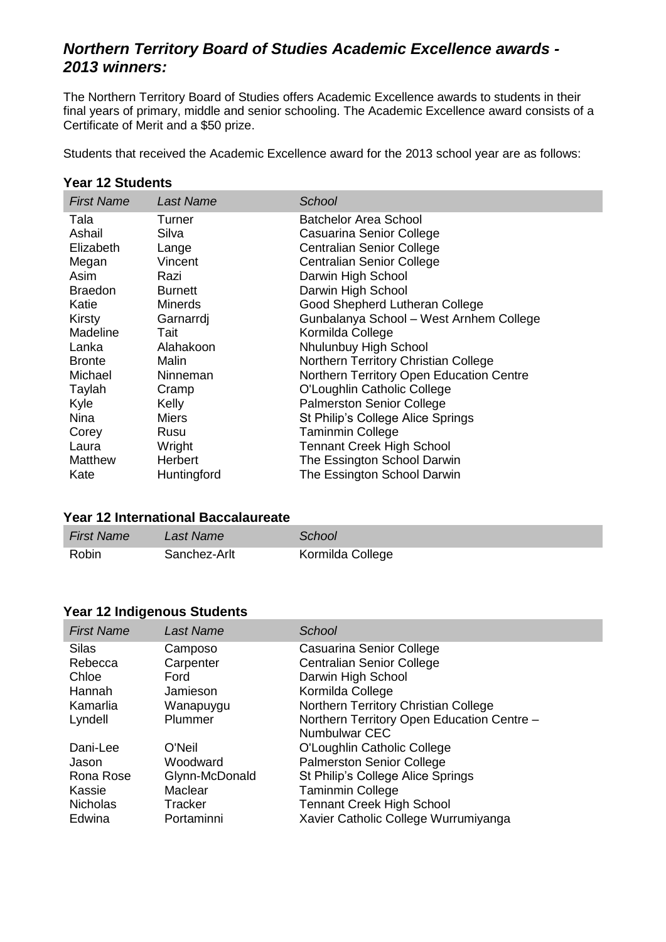# *Northern Territory Board of Studies Academic Excellence awards - 2013 winners:*

The Northern Territory Board of Studies offers Academic Excellence awards to students in their final years of primary, middle and senior schooling. The Academic Excellence award consists of a Certificate of Merit and a \$50 prize.

Students that received the Academic Excellence award for the 2013 school year are as follows:

#### **Year 12 Students**

| <b>First Name</b> | <b>Last Name</b> | School                                   |
|-------------------|------------------|------------------------------------------|
| Tala              | Turner           | Batchelor Area School                    |
| Ashail            | Silva            | Casuarina Senior College                 |
| Elizabeth         | Lange            | <b>Centralian Senior College</b>         |
| Megan             | Vincent          | <b>Centralian Senior College</b>         |
| Asim              | Razi             | Darwin High School                       |
| <b>Braedon</b>    | <b>Burnett</b>   | Darwin High School                       |
| Katie             | <b>Minerds</b>   | Good Shepherd Lutheran College           |
| Kirsty            | Garnarrdj        | Gunbalanya School - West Arnhem College  |
| Madeline          | Tait             | Kormilda College                         |
| Lanka             | Alahakoon        | Nhulunbuy High School                    |
| <b>Bronte</b>     | Malin            | Northern Territory Christian College     |
| Michael           | Ninneman         | Northern Territory Open Education Centre |
| Taylah            | Cramp            | O'Loughlin Catholic College              |
| Kyle              | Kelly            | <b>Palmerston Senior College</b>         |
| Nina              | Miers            | St Philip's College Alice Springs        |
| Corey             | Rusu             | <b>Taminmin College</b>                  |
| Laura             | Wright           | <b>Tennant Creek High School</b>         |
| <b>Matthew</b>    | Herbert          | The Essington School Darwin              |
| Kate              | Huntingford      | The Essington School Darwin              |

### **Year 12 International Baccalaureate**

| <b>First Name</b> | Last Name    | School           |
|-------------------|--------------|------------------|
| Robin             | Sanchez-Arlt | Kormilda College |

## **Year 12 Indigenous Students**

| <b>First Name</b> | Last Name      | School                                     |
|-------------------|----------------|--------------------------------------------|
| Silas             | Camposo        | Casuarina Senior College                   |
| Rebecca           | Carpenter      | <b>Centralian Senior College</b>           |
| Chloe             | Ford           | Darwin High School                         |
| Hannah            | Jamieson       | Kormilda College                           |
| Kamarlia          | Wanapuygu      | Northern Territory Christian College       |
| Lyndell           | Plummer        | Northern Territory Open Education Centre - |
|                   |                | Numbulwar CEC                              |
| Dani-Lee          | O'Neil         | O'Loughlin Catholic College                |
| Jason             | Woodward       | <b>Palmerston Senior College</b>           |
| Rona Rose         | Glynn-McDonald | St Philip's College Alice Springs          |
| Kassie            | Maclear        | <b>Taminmin College</b>                    |
| <b>Nicholas</b>   | Tracker        | <b>Tennant Creek High School</b>           |
| Edwina            | Portaminni     | Xavier Catholic College Wurrumiyanga       |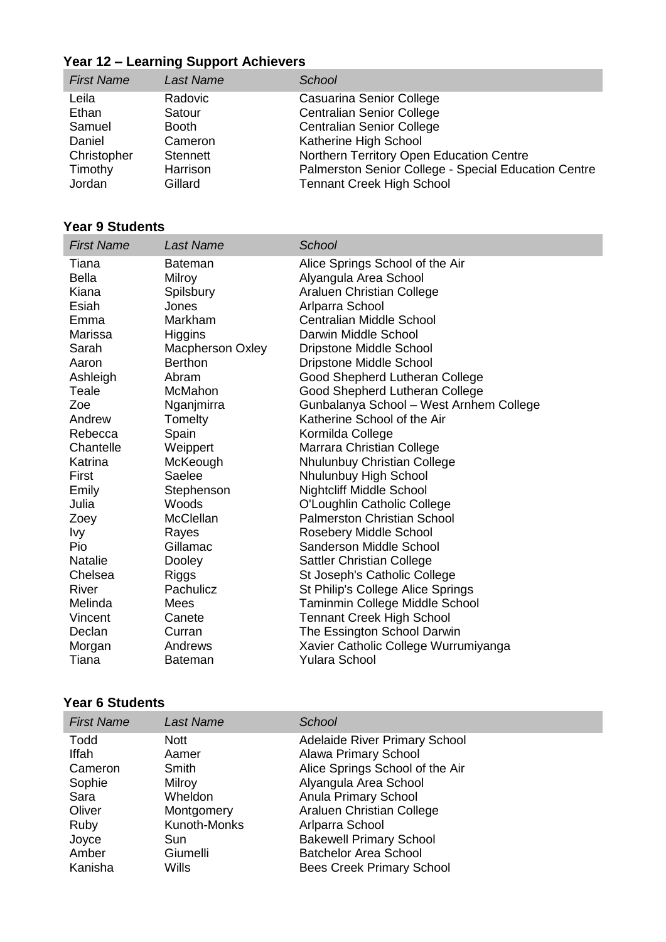# **Year 12 – Learning Support Achievers**

| <b>First Name</b> | <b>Last Name</b> | School                                               |
|-------------------|------------------|------------------------------------------------------|
| Leila             | Radovic          | Casuarina Senior College                             |
| Ethan             | Satour           | <b>Centralian Senior College</b>                     |
| Samuel            | <b>Booth</b>     | <b>Centralian Senior College</b>                     |
| Daniel            | Cameron          | Katherine High School                                |
| Christopher       | <b>Stennett</b>  | Northern Territory Open Education Centre             |
| Timothy           | Harrison         | Palmerston Senior College - Special Education Centre |
| Jordan            | Gillard          | <b>Tennant Creek High School</b>                     |

# **Year 9 Students**

| <b>First Name</b>                                                                                                                                                                                                 | <b>Last Name</b>                                                                                                                                                                                                                                                             | School                                                                                                                                                                                                                                                                                                                                                                                                                                                                                                                                                                                                                                                      |
|-------------------------------------------------------------------------------------------------------------------------------------------------------------------------------------------------------------------|------------------------------------------------------------------------------------------------------------------------------------------------------------------------------------------------------------------------------------------------------------------------------|-------------------------------------------------------------------------------------------------------------------------------------------------------------------------------------------------------------------------------------------------------------------------------------------------------------------------------------------------------------------------------------------------------------------------------------------------------------------------------------------------------------------------------------------------------------------------------------------------------------------------------------------------------------|
| Tiana<br><b>Bella</b><br>Kiana<br>Esiah<br>Emma<br>Marissa<br>Sarah<br>Aaron<br>Ashleigh<br>Teale<br>Zoe<br>Andrew<br>Rebecca<br>Chantelle<br>Katrina<br>First<br>Emily<br>Julia<br>Zoey<br>Ivy<br>Pio<br>Natalie | <b>Bateman</b><br>Milroy<br>Spilsbury<br>Jones<br>Markham<br>Higgins<br><b>Macpherson Oxley</b><br><b>Berthon</b><br>Abram<br>McMahon<br>Nganjmirra<br>Tomelty<br>Spain<br>Weippert<br>McKeough<br>Saelee<br>Stephenson<br>Woods<br>McClellan<br>Rayes<br>Gillamac<br>Dooley | Alice Springs School of the Air<br>Alyangula Area School<br>Araluen Christian College<br>Arlparra School<br><b>Centralian Middle School</b><br>Darwin Middle School<br><b>Dripstone Middle School</b><br><b>Dripstone Middle School</b><br>Good Shepherd Lutheran College<br>Good Shepherd Lutheran College<br>Gunbalanya School – West Arnhem College<br>Katherine School of the Air<br>Kormilda College<br>Marrara Christian College<br>Nhulunbuy Christian College<br>Nhulunbuy High School<br><b>Nightcliff Middle School</b><br>O'Loughlin Catholic College<br><b>Palmerston Christian School</b><br>Rosebery Middle School<br>Sanderson Middle School |
|                                                                                                                                                                                                                   |                                                                                                                                                                                                                                                                              |                                                                                                                                                                                                                                                                                                                                                                                                                                                                                                                                                                                                                                                             |
| Chelsea<br>River                                                                                                                                                                                                  | <b>Riggs</b><br>Pachulicz                                                                                                                                                                                                                                                    | <b>Sattler Christian College</b><br>St Joseph's Catholic College<br>St Philip's College Alice Springs                                                                                                                                                                                                                                                                                                                                                                                                                                                                                                                                                       |
| Melinda<br>Vincent<br>Declan<br>Morgan<br>Tiana                                                                                                                                                                   | Mees<br>Canete<br>Curran<br>Andrews<br><b>Bateman</b>                                                                                                                                                                                                                        | Taminmin College Middle School<br><b>Tennant Creek High School</b><br>The Essington School Darwin<br>Xavier Catholic College Wurrumiyanga<br><b>Yulara School</b>                                                                                                                                                                                                                                                                                                                                                                                                                                                                                           |

## **Year 6 Students**

| <b>First Name</b> | Last Name    | School                               |
|-------------------|--------------|--------------------------------------|
| Todd              | <b>Nott</b>  | <b>Adelaide River Primary School</b> |
| <b>Iffah</b>      | Aamer        | <b>Alawa Primary School</b>          |
| Cameron           | Smith        | Alice Springs School of the Air      |
| Sophie            | Milroy       | Alyangula Area School                |
| Sara              | Wheldon      | Anula Primary School                 |
| Oliver            | Montgomery   | <b>Araluen Christian College</b>     |
| Ruby              | Kunoth-Monks | Arlparra School                      |
| Joyce             | Sun          | <b>Bakewell Primary School</b>       |
| Amber             | Giumelli     | <b>Batchelor Area School</b>         |
| Kanisha           | Wills        | <b>Bees Creek Primary School</b>     |